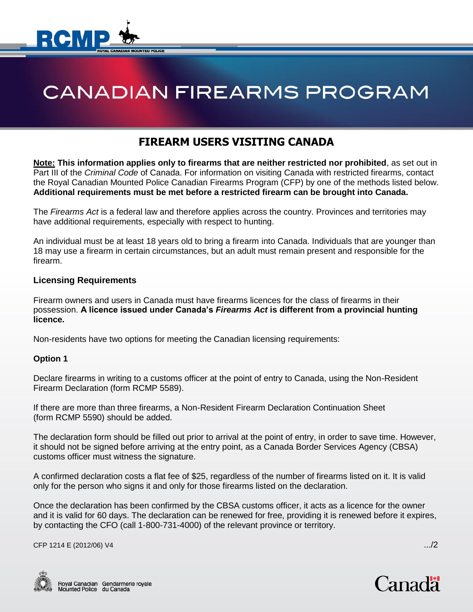

# **CANADIAN FIREARMS PROGRAM**

# **FIREARM USERS VISITING CANADA**

**Note: This information applies only to firearms that are neither restricted nor prohibited**, as set out in Part III of the *Criminal Code* of Canada. For information on visiting Canada with restricted firearms, contact the Royal Canadian Mounted Police Canadian Firearms Program (CFP) by one of the methods listed below. **Additional requirements must be met before a restricted firearm can be brought into Canada.**

The *Firearms Act* is a federal law and therefore applies across the country. Provinces and territories may have additional requirements, especially with respect to hunting.

An individual must be at least 18 years old to bring a firearm into Canada. Individuals that are younger than 18 may use a firearm in certain circumstances, but an adult must remain present and responsible for the firearm.

# **Licensing Requirements**

Firearm owners and users in Canada must have firearms licences for the class of firearms in their possession. **A licence issued under Canada's** *Firearms Act* **is different from a provincial hunting licence.**

Non-residents have two options for meeting the Canadian licensing requirements:

#### **Option 1**

Declare firearms in writing to a customs officer at the point of entry to Canada, using the Non-Resident Firearm Declaration (form RCMP 5589).

If there are more than three firearms, a Non-Resident Firearm Declaration Continuation Sheet (form RCMP 5590) should be added.

The declaration form should be filled out prior to arrival at the point of entry, in order to save time. However, it should not be signed before arriving at the entry point, as a Canada Border Services Agency (CBSA) customs officer must witness the signature.

A confirmed declaration costs a flat fee of \$25, regardless of the number of firearms listed on it. It is valid only for the person who signs it and only for those firearms listed on the declaration.

Once the declaration has been confirmed by the CBSA customs officer, it acts as a licence for the owner and it is valid for 60 days. The declaration can be renewed for free, providing it is renewed before it expires, by contacting the CFO (call 1-800-731-4000) of the relevant province or territory.

CFP 1214 E (2012/06) V4 .../2



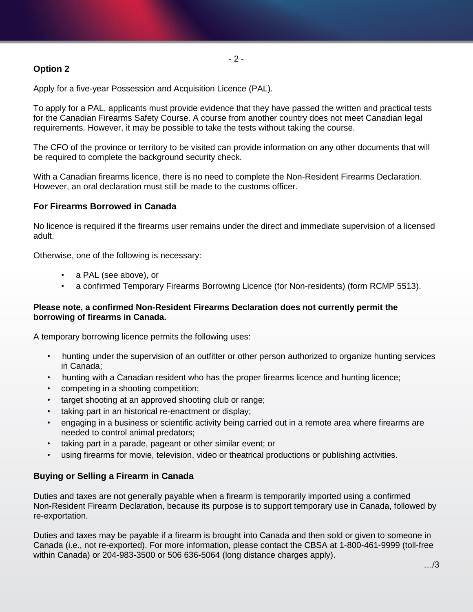# **Option 2**

- 2 -

Apply for a five-year Possession and Acquisition Licence (PAL).

To apply for a PAL, applicants must provide evidence that they have passed the written and practical tests for the Canadian Firearms Safety Course. A course from another country does not meet Canadian legal requirements. However, it may be possible to take the tests without taking the course.

The CFO of the province or territory to be visited can provide information on any other documents that will be required to complete the background security check.

With a Canadian firearms licence, there is no need to complete the Non-Resident Firearms Declaration. However, an oral declaration must still be made to the customs officer.

#### **For Firearms Borrowed in Canada**

No licence is required if the firearms user remains under the direct and immediate supervision of a licensed adult.

Otherwise, one of the following is necessary:

- a PAL (see above), or
- a confirmed Temporary Firearms Borrowing Licence (for Non-residents) (form RCMP 5513).

#### **Please note, a confirmed Non-Resident Firearms Declaration does not currently permit the borrowing of firearms in Canada.**

A temporary borrowing licence permits the following uses:

- hunting under the supervision of an outfitter or other person authorized to organize hunting services in Canada;
- hunting with a Canadian resident who has the proper firearms licence and hunting licence;
- competing in a shooting competition;
- target shooting at an approved shooting club or range;
- taking part in an historical re-enactment or display;
- engaging in a business or scientific activity being carried out in a remote area where firearms are needed to control animal predators;
- taking part in a parade, pageant or other similar event; or
- using firearms for movie, television, video or theatrical productions or publishing activities.

#### **Buying or Selling a Firearm in Canada**

Duties and taxes are not generally payable when a firearm is temporarily imported using a confirmed Non-Resident Firearm Declaration, because its purpose is to support temporary use in Canada, followed by re-exportation.

Duties and taxes may be payable if a firearm is brought into Canada and then sold or given to someone in Canada (i.e., not re-exported). For more information, please contact the CBSA at 1-800-461-9999 (toll-free within Canada) or 204-983-3500 or 506 636-5064 (long distance charges apply).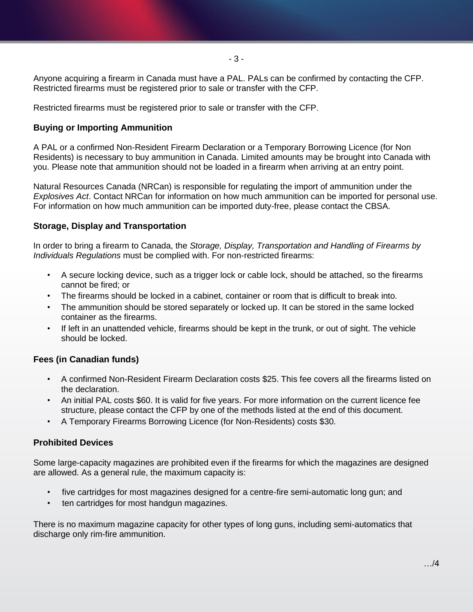- 3 -

Anyone acquiring a firearm in Canada must have a PAL. PALs can be confirmed by contacting the CFP. Restricted firearms must be registered prior to sale or transfer with the CFP.

Restricted firearms must be registered prior to sale or transfer with the CFP.

# **Buying or Importing Ammunition**

A PAL or a confirmed Non-Resident Firearm Declaration or a Temporary Borrowing Licence (for Non Residents) is necessary to buy ammunition in Canada. Limited amounts may be brought into Canada with you. Please note that ammunition should not be loaded in a firearm when arriving at an entry point.

Natural Resources Canada (NRCan) is responsible for regulating the import of ammunition under the *Explosives Act*. Contact NRCan for information on how much ammunition can be imported for personal use. For information on how much ammunition can be imported duty-free, please contact the CBSA.

# **Storage, Display and Transportation**

In order to bring a firearm to Canada, the *Storage, Display, Transportation and Handling of Firearms by Individuals Regulations* must be complied with. For non-restricted firearms:

- A secure locking device, such as a trigger lock or cable lock, should be attached, so the firearms cannot be fired; or
- The firearms should be locked in a cabinet, container or room that is difficult to break into.
- The ammunition should be stored separately or locked up. It can be stored in the same locked container as the firearms.
- If left in an unattended vehicle, firearms should be kept in the trunk, or out of sight. The vehicle should be locked.

# **Fees (in Canadian funds)**

- A confirmed Non-Resident Firearm Declaration costs \$25. This fee covers all the firearms listed on the declaration.
- An initial PAL costs \$60. It is valid for five years. For more information on the current licence fee structure, please contact the CFP by one of the methods listed at the end of this document.
- A Temporary Firearms Borrowing Licence (for Non-Residents) costs \$30.

# **Prohibited Devices**

Some large-capacity magazines are prohibited even if the firearms for which the magazines are designed are allowed. As a general rule, the maximum capacity is:

- five cartridges for most magazines designed for a centre-fire semi-automatic long gun; and
- ten cartridges for most handgun magazines.

There is no maximum magazine capacity for other types of long guns, including semi-automatics that discharge only rim-fire ammunition.